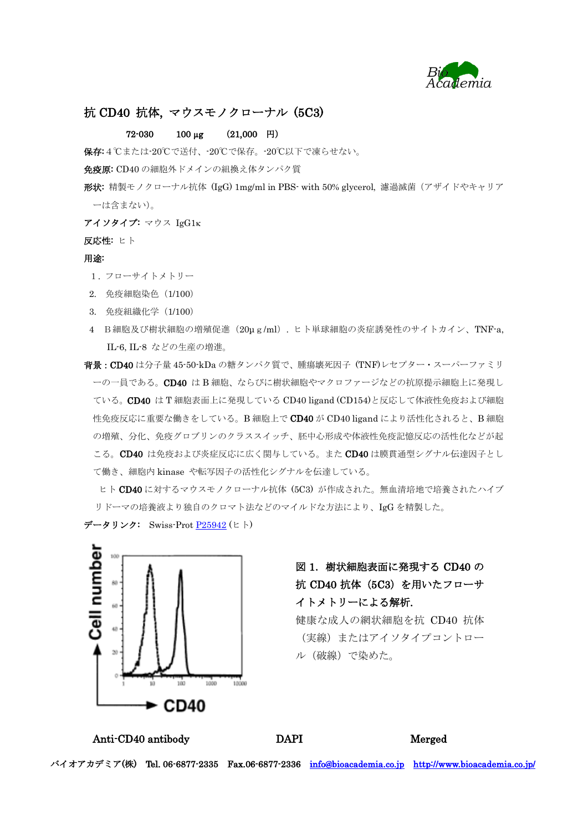

## 抗 CD40 抗体, マウスモノクローナル (5C3)

## $72-030$  100 µg (21,000 円)

保存:4℃または-20℃で送付、-20℃で保存。-20℃以下で凍らせない。

免疫原: CD40 の細胞外ドメインの組換え体タンパク質

- 形状: 精製モノクローナル抗体 (IgG) 1mg/ml in PBS- with 50% glycerol, 濾過滅菌(アザイドやキャリア ーは含まない)。
- アイソタイプ: マウス IgG1
- 反応性: ヒト

## 用途:

- 1. フローサイトメトリー
- 2. 免疫細胞染色(1/100)
- 3. 免疫組織化学(1/100)
- 4 B細胞及び樹状細胞の増殖促進(20μg/ml). ヒト単球細胞の炎症誘発性のサイトカイン、TNF-a, IL-6, IL-8 などの生産の増進。
- 背景:CD40 は分子量 45-50-kDa の糖タンパク質で、腫瘍壊死因子 (TNF)レセプター・スーパーファミリ ーの一員である。CD40 は B 細胞、ならびに樹状細胞やマクロファージなどの抗原提示細胞上に発現し ている。CD40 は T 細胞表面上に発現している CD40 ligand (CD154)と反応して体液性免疫および細胞 性免疫反応に重要な働きをしている。B 細胞上で CD40 が CD40 ligand により活性化されると、B 細胞 の増殖、分化、免疫グロブリンのクラススイッチ、胚中心形成や体液性免疫記憶反応の活性化などが起 こる。CD40 は免疫および炎症反応に広く関与している。また CD40 は膜貫通型シグナル伝達因子とし て働き、細胞内 kinase や転写因子の活性化シグナルを伝達している。

ヒト CD40 に対するマウスモノクローナル抗体 (5C3) が作成された。無血清培地で培養されたハイブ リドーマの培養液より独自のクロマト法などのマイルドな方法により、IgG を精製した。

データリンク: Swiss-Prot [P25942](http://www.uniprot.org/uniprot/P25942) (ヒト)



## 図 1.樹状細胞表面に発現する CD40 の 抗 CD40 抗体(5C3)を用いたフローサ イトメトリーによる解析.

健康な成人の網状細胞を抗 CD40 抗体 (実線)またはアイソタイプコントロー ル(破線)で染めた。

Anti-CD40 antibody DAPI Merged

バイオアカデミア(株) Tel. 06-6877-2335 Fax.06-6877-2336 [info@bioacademia.co.jp](mailto:info@bioacademia.co.jp) <http://www.bioacademia.co.jp/>